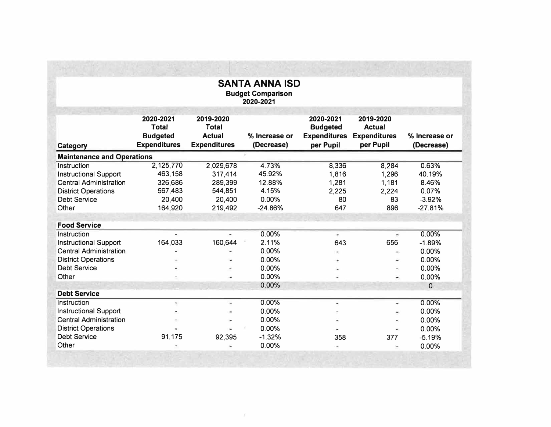| <b>SANTA ANNA ISD</b><br><b>Budget Comparison</b><br>2020-2021 |                                                                     |                                                                   |                             |                                                                  |                                                                |                             |  |  |
|----------------------------------------------------------------|---------------------------------------------------------------------|-------------------------------------------------------------------|-----------------------------|------------------------------------------------------------------|----------------------------------------------------------------|-----------------------------|--|--|
| Category                                                       | 2020-2021<br><b>Total</b><br><b>Budgeted</b><br><b>Expenditures</b> | 2019-2020<br><b>Total</b><br><b>Actual</b><br><b>Expenditures</b> | % Increase or<br>(Decrease) | 2020-2021<br><b>Budgeted</b><br><b>Expenditures</b><br>per Pupil | 2019-2020<br><b>Actual</b><br><b>Expenditures</b><br>per Pupil | % Increase or<br>(Decrease) |  |  |
| <b>Maintenance and Operations</b>                              |                                                                     |                                                                   |                             |                                                                  |                                                                |                             |  |  |
| Instruction                                                    | 2,125,770                                                           | 2,029,678                                                         | 4.73%                       | 8,336                                                            | 8,284                                                          | 0.63%                       |  |  |
| <b>Instructional Support</b>                                   | 463,158                                                             | 317,414                                                           | 45.92%                      | 1,816                                                            | 1,296                                                          | 40.19%                      |  |  |
| <b>Central Administration</b>                                  | 326,686                                                             | 289,399                                                           | 12.88%                      | 1,281                                                            | 1,181                                                          | 8.46%                       |  |  |
| <b>District Operations</b>                                     | 567,483                                                             | 544,851                                                           | 4.15%                       | 2,225                                                            | 2,224                                                          | 0.07%                       |  |  |
| <b>Debt Service</b>                                            | 20,400                                                              | 20,400                                                            | 0.00%                       | 80                                                               | 83                                                             | $-3.92%$                    |  |  |
| Other                                                          | 164,920                                                             | 219,492                                                           | $-24.86%$                   | 647                                                              | 896                                                            | $-27.81%$                   |  |  |
| <b>Food Service</b>                                            |                                                                     |                                                                   |                             |                                                                  |                                                                |                             |  |  |
| Instruction                                                    |                                                                     |                                                                   | 0.00%                       | $\overline{\phantom{a}}$                                         | ۰                                                              | 0.00%                       |  |  |
| <b>Instructional Support</b>                                   | 164,033                                                             | 160,644                                                           | 2.11%                       | 643                                                              | 656                                                            | $-1.89%$                    |  |  |
| <b>Central Administration</b>                                  |                                                                     |                                                                   | 0.00%                       |                                                                  |                                                                | 0.00%                       |  |  |
| <b>District Operations</b>                                     |                                                                     |                                                                   | 0.00%                       |                                                                  | w.                                                             | 0.00%                       |  |  |
| <b>Debt Service</b>                                            |                                                                     |                                                                   | 0.00%                       |                                                                  | $\overline{\phantom{0}}$                                       | 0.00%                       |  |  |
| Other                                                          |                                                                     |                                                                   | 0.00%                       |                                                                  |                                                                | 0.00%                       |  |  |
|                                                                |                                                                     |                                                                   | 0.00%                       |                                                                  |                                                                | 0                           |  |  |
| <b>Debt Service</b>                                            |                                                                     |                                                                   |                             |                                                                  |                                                                |                             |  |  |
| Instruction                                                    | $\equiv$                                                            | ۰                                                                 | 0.00%                       | $\overline{a}$                                                   | $\omega$                                                       | 0.00%                       |  |  |
| <b>Instructional Support</b>                                   |                                                                     |                                                                   | 0.00%                       |                                                                  |                                                                | 0.00%                       |  |  |
| <b>Central Administration</b>                                  |                                                                     |                                                                   | 0.00%                       |                                                                  |                                                                | 0.00%                       |  |  |
| <b>District Operations</b>                                     |                                                                     |                                                                   | 0.00%                       |                                                                  |                                                                | 0.00%                       |  |  |
| <b>Debt Service</b>                                            | 91,175                                                              | 92,395                                                            | $-1.32%$                    | 358                                                              | 377                                                            | $-5.19%$                    |  |  |
| Other                                                          |                                                                     |                                                                   | 0.00%                       |                                                                  |                                                                | 0.00%                       |  |  |

 $\sim 10$